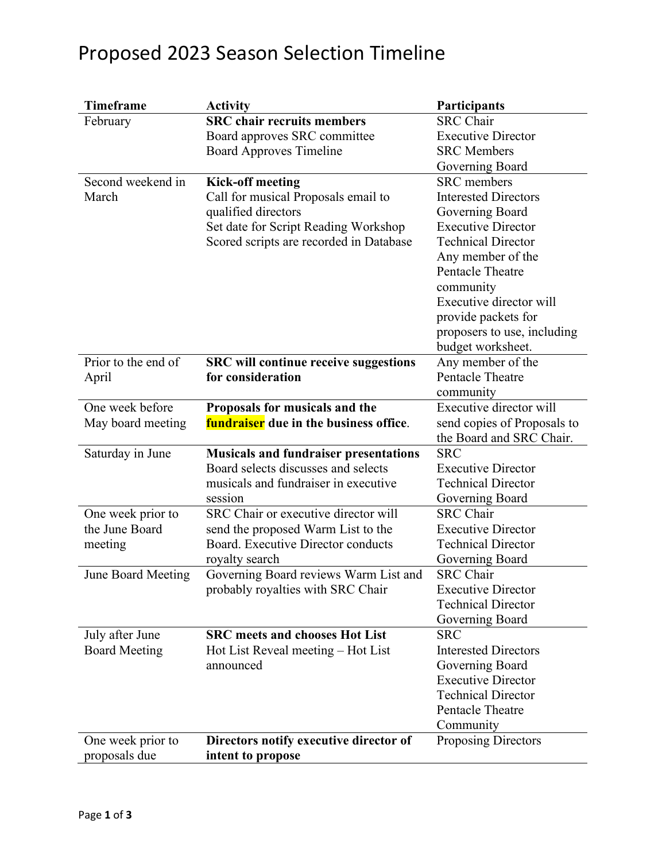## Proposed 2023 Season Selection Timeline

| <b>Timeframe</b>                        | <b>Activity</b>                                 | Participants                                  |
|-----------------------------------------|-------------------------------------------------|-----------------------------------------------|
| February                                | <b>SRC</b> chair recruits members               | <b>SRC</b> Chair                              |
|                                         | Board approves SRC committee                    | <b>Executive Director</b>                     |
|                                         | <b>Board Approves Timeline</b>                  | <b>SRC</b> Members                            |
|                                         |                                                 | Governing Board                               |
| Second weekend in                       | <b>Kick-off meeting</b>                         | <b>SRC</b> members                            |
| March                                   | Call for musical Proposals email to             | <b>Interested Directors</b>                   |
|                                         | qualified directors                             | Governing Board                               |
|                                         | Set date for Script Reading Workshop            | <b>Executive Director</b>                     |
|                                         | Scored scripts are recorded in Database         | <b>Technical Director</b>                     |
|                                         |                                                 | Any member of the                             |
|                                         |                                                 | Pentacle Theatre                              |
|                                         |                                                 | community                                     |
|                                         |                                                 | Executive director will                       |
|                                         |                                                 | provide packets for                           |
|                                         |                                                 | proposers to use, including                   |
|                                         |                                                 | budget worksheet.                             |
| Prior to the end of                     | <b>SRC</b> will continue receive suggestions    | Any member of the                             |
| April                                   | for consideration                               | <b>Pentacle Theatre</b>                       |
|                                         |                                                 | community                                     |
| One week before                         | Proposals for musicals and the                  | Executive director will                       |
| May board meeting                       | <b>fundraiser</b> due in the business office.   | send copies of Proposals to                   |
|                                         |                                                 | the Board and SRC Chair.                      |
| Saturday in June                        | <b>Musicals and fundraiser presentations</b>    | <b>SRC</b>                                    |
|                                         | Board selects discusses and selects             | <b>Executive Director</b>                     |
|                                         | musicals and fundraiser in executive            | <b>Technical Director</b>                     |
|                                         | session                                         | Governing Board                               |
| One week prior to                       | SRC Chair or executive director will            | <b>SRC</b> Chair                              |
| the June Board                          | send the proposed Warm List to the              | <b>Executive Director</b>                     |
| meeting                                 | Board. Executive Director conducts              | <b>Technical Director</b>                     |
|                                         | royalty search                                  | <b>Governing Board</b>                        |
| June Board Meeting                      | Governing Board reviews Warm List and           | <b>SRC</b> Chair<br><b>Executive Director</b> |
|                                         | probably royalties with SRC Chair               | <b>Technical Director</b>                     |
|                                         |                                                 |                                               |
|                                         | <b>SRC</b> meets and chooses Hot List           | Governing Board<br><b>SRC</b>                 |
| July after June<br><b>Board Meeting</b> |                                                 | <b>Interested Directors</b>                   |
|                                         | Hot List Reveal meeting – Hot List<br>announced | Governing Board                               |
|                                         |                                                 | <b>Executive Director</b>                     |
|                                         |                                                 | <b>Technical Director</b>                     |
|                                         |                                                 | Pentacle Theatre                              |
|                                         |                                                 | Community                                     |
| One week prior to                       | Directors notify executive director of          |                                               |
|                                         |                                                 | <b>Proposing Directors</b>                    |
| proposals due                           | intent to propose                               |                                               |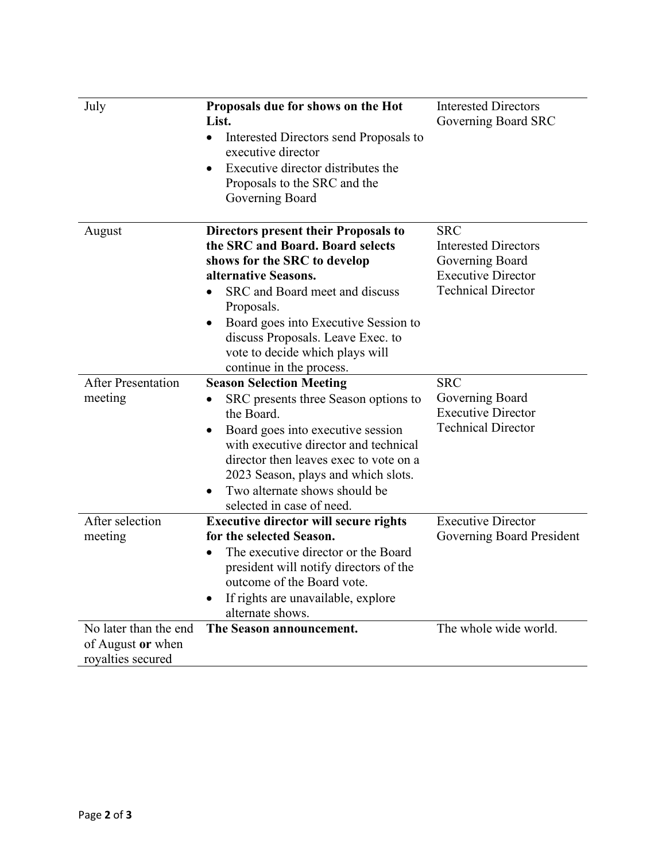| July                      | Proposals due for shows on the Hot<br>List.<br>Interested Directors send Proposals to<br>$\bullet$<br>executive director<br>Executive director distributes the<br>Proposals to the SRC and the<br>Governing Board                                                                                                            | <b>Interested Directors</b><br>Governing Board SRC                                                                     |
|---------------------------|------------------------------------------------------------------------------------------------------------------------------------------------------------------------------------------------------------------------------------------------------------------------------------------------------------------------------|------------------------------------------------------------------------------------------------------------------------|
| August                    | Directors present their Proposals to<br>the SRC and Board. Board selects<br>shows for the SRC to develop<br>alternative Seasons.<br>SRC and Board meet and discuss<br>Proposals.<br>Board goes into Executive Session to<br>discuss Proposals. Leave Exec. to<br>vote to decide which plays will<br>continue in the process. | <b>SRC</b><br><b>Interested Directors</b><br>Governing Board<br><b>Executive Director</b><br><b>Technical Director</b> |
| <b>After Presentation</b> | <b>Season Selection Meeting</b>                                                                                                                                                                                                                                                                                              | <b>SRC</b>                                                                                                             |
| meeting                   | SRC presents three Season options to<br>٠<br>the Board.<br>Board goes into executive session<br>٠<br>with executive director and technical<br>director then leaves exec to vote on a<br>2023 Season, plays and which slots.<br>Two alternate shows should be<br>٠<br>selected in case of need.                               | Governing Board<br><b>Executive Director</b><br><b>Technical Director</b>                                              |
| After selection           | <b>Executive director will secure rights</b>                                                                                                                                                                                                                                                                                 | <b>Executive Director</b>                                                                                              |
| meeting                   | for the selected Season.<br>The executive director or the Board<br>president will notify directors of the<br>outcome of the Board vote.<br>If rights are unavailable, explore<br>alternate shows.                                                                                                                            | Governing Board President                                                                                              |
| No later than the end     | The Season announcement.                                                                                                                                                                                                                                                                                                     | The whole wide world.                                                                                                  |
| of August or when         |                                                                                                                                                                                                                                                                                                                              |                                                                                                                        |
| royalties secured         |                                                                                                                                                                                                                                                                                                                              |                                                                                                                        |